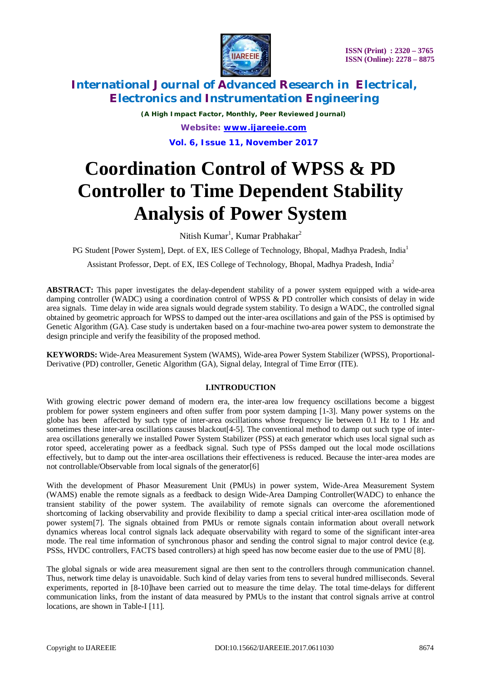

*(A High Impact Factor, Monthly, Peer Reviewed Journal) Website: [www.ijareeie.com](http://www.ijareeie.com)*

**Vol. 6, Issue 11, November 2017**

# **Coordination Control of WPSS & PD Controller to Time Dependent Stability Analysis of Power System**

Nitish Kumar<sup>1</sup>, Kumar Prabhakar<sup>2</sup>

PG Student [Power System], Dept. of EX, IES College of Technology, Bhopal, Madhya Pradesh, India<sup>1</sup>

Assistant Professor, Dept. of EX, IES College of Technology, Bhopal, Madhya Pradesh, India<sup>2</sup>

**ABSTRACT:** This paper investigates the delay-dependent stability of a power system equipped with a wide-area damping controller (WADC) using a coordination control of WPSS & PD controller which consists of delay in wide area signals. Time delay in wide area signals would degrade system stability. To design a WADC, the controlled signal obtained by geometric approach for WPSS to damped out the inter-area oscillations and gain of the PSS is optimised by Genetic Algorithm (GA). Case study is undertaken based on a four-machine two-area power system to demonstrate the design principle and verify the feasibility of the proposed method.

**KEYWORDS:** Wide-Area Measurement System (WAMS), Wide-area Power System Stabilizer (WPSS), Proportional-Derivative (PD) controller, Genetic Algorithm (GA), Signal delay, Integral of Time Error (ITE).

### **I.INTRODUCTION**

With growing electric power demand of modern era, the inter-area low frequency oscillations become a biggest problem for power system engineers and often suffer from poor system damping [1-3]. Many power systems on the globe has been affected by such type of inter-area oscillations whose frequency lie between 0.1 Hz to 1 Hz and sometimes these inter-area oscillations causes blackout[4-5]. The conventional method to damp out such type of interarea oscillations generally we installed Power System Stabilizer (PSS) at each generator which uses local signal such as rotor speed, accelerating power as a feedback signal. Such type of PSSs damped out the local mode oscillations effectively, but to damp out the inter-area oscillations their effectiveness is reduced. Because the inter-area modes are not controllable/Observable from local signals of the generator [6]

With the development of Phasor Measurement Unit (PMUs) in power system, Wide-Area Measurement System (WAMS) enable the remote signals as a feedback to design Wide-Area Damping Controller(WADC) to enhance the transient stability of the power system. The availability of remote signals can overcome the aforementioned shortcoming of lacking observability and provide flexibility to damp a special critical inter-area oscillation mode of power system[7]. The signals obtained from PMUs or remote signals contain information about overall network dynamics whereas local control signals lack adequate observability with regard to some of the significant inter-area mode. The real time information of synchronous phasor and sending the control signal to major control device (e.g. PSSs, HVDC controllers, FACTS based controllers) at high speed has now become easier due to the use of PMU [8].

The global signals or wide area measurement signal are then sent to the controllers through communication channel. Thus, network time delay is unavoidable. Such kind of delay varies from tens to several hundred milliseconds. Several experiments, reported in [8-10]have been carried out to measure the time delay. The total time-delays for different communication links, from the instant of data measured by PMUs to the instant that control signals arrive at control locations, are shown in Table-I [11].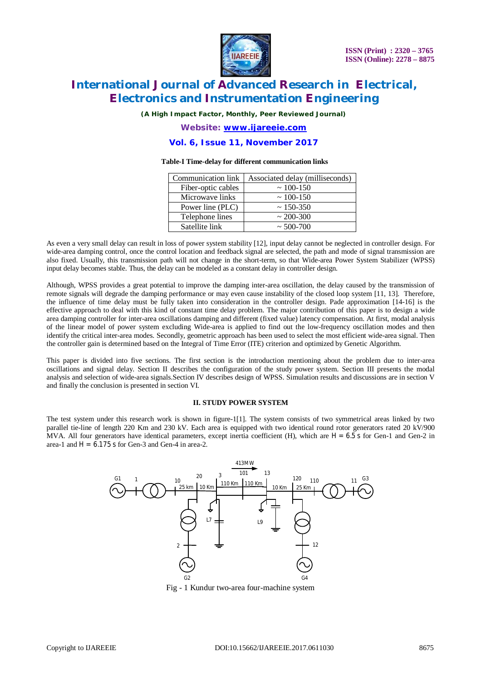

*(A High Impact Factor, Monthly, Peer Reviewed Journal)*

*Website: [www.ijareeie.com](http://www.ijareeie.com)*

#### **Vol. 6, Issue 11, November 2017**

#### **Table-I Time-delay for different communication links**

| Communication link | Associated delay (milliseconds) |
|--------------------|---------------------------------|
| Fiber-optic cables | $\sim 100 - 150$                |
| Microwave links    | $\sim 100 - 150$                |
| Power line (PLC)   | $\sim$ 150-350                  |
| Telephone lines    | $\sim$ 200-300                  |
| Satellite link     | $\sim$ 500-700                  |

As even a very small delay can result in loss of power system stability [12], input delay cannot be neglected in controller design. For wide-area damping control, once the control location and feedback signal are selected, the path and mode of signal transmission are also fixed. Usually, this transmission path will not change in the short-term, so that Wide-area Power System Stabilizer (WPSS) input delay becomes stable. Thus, the delay can be modeled as a constant delay in controller design.

Although, WPSS provides a great potential to improve the damping inter-area oscillation, the delay caused by the transmission of remote signals will degrade the damping performance or may even cause instability of the closed loop system [11, 13]. Therefore, the influence of time delay must be fully taken into consideration in the controller design. Pade approximation [14-16] is the effective approach to deal with this kind of constant time delay problem. The major contribution of this paper is to design a wide area damping controller for inter-area oscillations damping and different (fixed value) latency compensation. At first, modal analysis of the linear model of power system excluding Wide-area is applied to find out the low-frequency oscillation modes and then identify the critical inter-area modes. Secondly, geometric approach has been used to select the most efficient wide-area signal. Then the controller gain is determined based on the Integral of Time Error (ITE) criterion and optimized by Genetic Algorithm.

This paper is divided into five sections. The first section is the introduction mentioning about the problem due to inter-area oscillations and signal delay. Section II describes the configuration of the study power system. Section III presents the modal analysis and selection of wide-area signals.Section IV describes design of WPSS. Simulation results and discussions are in section V and finally the conclusion is presented in section VI.

#### **II. STUDY POWER SYSTEM**

The test system under this research work is shown in figure-1[1]. The system consists of two symmetrical areas linked by two parallel tie-line of length 220 Km and 230 kV. Each area is equipped with two identical round rotor generators rated 20 kV/900 MVA. All four generators have identical parameters, except inertia coefficient (H), which are  $H = 6.5$  s for Gen-1 and Gen-2 in area-1 and  $H = 6.175$  s for Gen-3 and Gen-4 in area-2.



Fig - 1 Kundur two-area four-machine system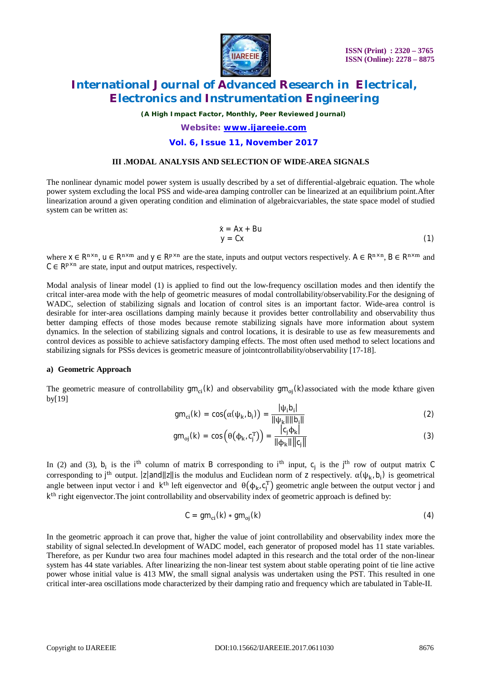

*(A High Impact Factor, Monthly, Peer Reviewed Journal)*

### *Website: [www.ijareeie.com](http://www.ijareeie.com)* **Vol. 6, Issue 11, November 2017**

#### **III .MODAL ANALYSIS AND SELECTION OF WIDE-AREA SIGNALS**

The nonlinear dynamic model power system is usually described by a set of differential-algebraic equation. The whole power system excluding the local PSS and wide-area damping controller can be linearized at an equilibrium point.After linearization around a given operating condition and elimination of algebraicvariables, the state space model of studied system can be written as:

$$
\dot{x} = Ax + Bu
$$
  
y = Cx (1)

where  $x \in R^{n \times n}$ ,  $u \in R^{n \times m}$  and  $y \in R^{p \times n}$  are the state, inputs and output vectors respectively.  $A \in R^{n \times n}$ ,  $B \in R^{n \times m}$  and  $C \in \mathbb{R}^{p \times n}$  are state, input and output matrices, respectively.

Modal analysis of linear model (1) is applied to find out the low-frequency oscillation modes and then identify the critcal inter-area mode with the help of geometric measures of modal controllability/observability.For the designing of WADC, selection of stabilizing signals and location of control sites is an important factor. Wide-area control is desirable for inter-area oscillations damping mainly because it provides better controllability and observability thus better damping effects of those modes because remote stabilizing signals have more information about system dynamics. In the selection of stabilizing signals and control locations, it is desirable to use as few measurements and control devices as possible to achieve satisfactory damping effects. The most often used method to select locations and stabilizing signals for PSSs devices is geometric measure of jointcontrollability/observability [17-18].

#### **a) Geometric Approach**

The geometric measure of controllability  $gm_{ci}(k)$  and observability  $gm_{oj}(k)$ associated with the mode kthare given by[19]

$$
gm_{ci}(k) = cos(\alpha(\psi_{k}, b_{i})) = \frac{|\psi_{i}b_{i}|}{\|\psi_{k}\|\|\phi_{i}\|}
$$
 (2)

$$
gm_{oj}(k) = \cos\left(\theta(\phi_k, c_j^T)\right) = \frac{|c_j \phi_k|}{\|\phi_k\| \|c_j\|}
$$
\n(3)

In (2) and (3),  $b_i$  is the i<sup>th</sup> column of matrix B corresponding to i<sup>th</sup> input,  $c_j$  is the j<sup>th</sup> row of output matrix C corresponding to j<sup>th</sup> output. |z|and||z||is the modulus and Euclidean norm of z respectively.  $\alpha(\psi_k, b_i)$  is geometrical angle between input vector i and  $k<sup>th</sup>$  left eigenvector and  $\theta(\phi_k, c_i^T)$  geometric angle between the output vector j and k<sup>th</sup> right eigenvector. The joint controllability and observability index of geometric approach is defined by:

$$
C = gm_{ci}(k) * gm_{oj}(k)
$$
 (4)

In the geometric approach it can prove that, higher the value of joint controllability and observability index more the stability of signal selected.In development of WADC model, each generator of proposed model has 11 state variables. Therefore, as per Kundur two area four machines model adapted in this research and the total order of the non-linear system has 44 state variables. After linearizing the non-linear test system about stable operating point of tie line active power whose initial value is 413 MW, the small signal analysis was undertaken using the PST. This resulted in one critical inter-area oscillations mode characterized by their damping ratio and frequency which are tabulated in Table-II.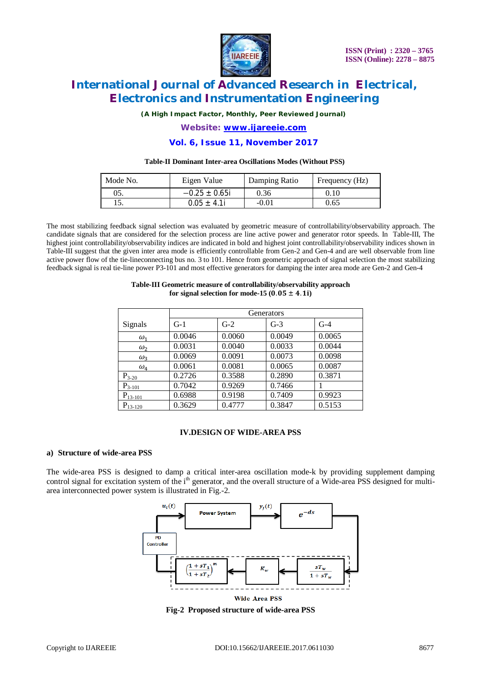

*(A High Impact Factor, Monthly, Peer Reviewed Journal)*

*Website: [www.ijareeie.com](http://www.ijareeie.com)* **Vol. 6, Issue 11, November 2017**

#### **Table-II Dominant Inter-area Oscillations Modes (Without PSS)**

| Mode No. | Eigen Value        | Damping Ratio | Frequency (Hz) |
|----------|--------------------|---------------|----------------|
| 05.      | $-0.25 \pm 0.65$ i | 0.36          | 0.10           |
|          | $0.05 \pm 4.1i$    | $-0.01$       | 0.65           |

The most stabilizing feedback signal selection was evaluated by geometric measure of controllability/observability approach. The candidate signals that are considered for the selection process are line active power and generator rotor speeds. In Table-III, The highest joint controllability/observability indices are indicated in bold and highest joint controllability/observability indices shown in Table-III suggest that the given inter area mode is efficiently controllable from Gen-2 and Gen-4 and are well observable from line active power flow of the tie-lineconnecting bus no. 3 to 101. Hence from geometric approach of signal selection the most stabilizing feedback signal is real tie-line power P3-101 and most effective generators for damping the inter area mode are Gen-2 and Gen-4

#### **Table-III Geometric measure of controllability/observability approach**  for signal selection for mode-15  $(0.05 \pm 4.1i)$

|              | Generators |        |        |        |
|--------------|------------|--------|--------|--------|
| Signals      | $G-1$      | $G-2$  | $G-3$  | $G-4$  |
| $\omega_1$   | 0.0046     | 0.0060 | 0.0049 | 0.0065 |
| $\omega_2$   | 0.0031     | 0.0040 | 0.0033 | 0.0044 |
| $\omega_3$   | 0.0069     | 0.0091 | 0.0073 | 0.0098 |
| $\omega_4$   | 0.0061     | 0.0081 | 0.0065 | 0.0087 |
| $P_{3-20}$   | 0.2726     | 0.3588 | 0.2890 | 0.3871 |
| $P_{3-101}$  | 0.7042     | 0.9269 | 0.7466 |        |
| $P_{13-101}$ | 0.6988     | 0.9198 | 0.7409 | 0.9923 |
| $P_{13-120}$ | 0.3629     | 0.4777 | 0.3847 | 0.5153 |

#### **IV.DESIGN OF WIDE-AREA PSS**

#### **a) Structure of wide-area PSS**

The wide-area PSS is designed to damp a critical inter-area oscillation mode-k by providing supplement damping control signal for excitation system of the i<sup>th</sup> generator, and the overall structure of a Wide-area PSS designed for multiarea interconnected power system is illustrated in Fig.-2.



**Fig-2 Proposed structure of wide-area PSS**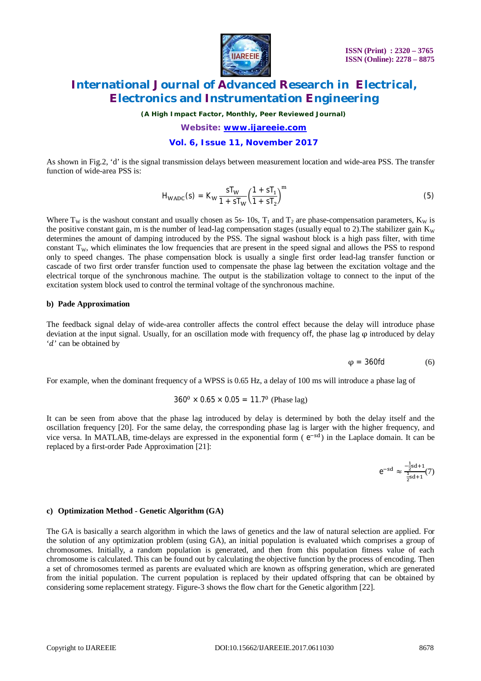

*(A High Impact Factor, Monthly, Peer Reviewed Journal)*

*Website: [www.ijareeie.com](http://www.ijareeie.com)* **Vol. 6, Issue 11, November 2017**

As shown in Fig.2, 'd' is the signal transmission delays between measurement location and wide-area PSS. The transfer function of wide-area PSS is:

$$
H_{WADC}(s) = K_W \frac{sT_W}{1 + sT_W} \left(\frac{1 + sT_1}{1 + sT_2}\right)^m
$$
\n(5)

Where  $T_w$  is the washout constant and usually chosen as 5s- 10s,  $T_1$  and  $T_2$  are phase-compensation parameters,  $K_w$  is the positive constant gain, m is the number of lead-lag compensation stages (usually equal to 2). The stabilizer gain  $K_w$ determines the amount of damping introduced by the PSS. The signal washout block is a high pass filter, with time constant  $T_w$ , which eliminates the low frequencies that are present in the speed signal and allows the PSS to respond only to speed changes. The phase compensation block is usually a single first order lead-lag transfer function or cascade of two first order transfer function used to compensate the phase lag between the excitation voltage and the electrical torque of the synchronous machine. The output is the stabilization voltage to connect to the input of the excitation system block used to control the terminal voltage of the synchronous machine.

#### **b) Pade Approximation**

The feedback signal delay of wide-area controller affects the control effect because the delay will introduce phase deviation at the input signal. Usually, for an oscillation mode with frequency off, the phase lag  $\varphi$  introduced by delay 'd' can be obtained by

 $\varphi = 360f d$  (6)

For example, when the dominant frequency of a WPSS is 0.65 Hz, a delay of 100 ms will introduce a phase lag of

$$
360^0 \times 0.65 \times 0.05 = 11.7^0
$$
 (Phase lag)

It can be seen from above that the phase lag introduced by delay is determined by both the delay itself and the oscillation frequency [20]. For the same delay, the corresponding phase lag is larger with the higher frequency, and vice versa. In MATLAB, time-delays are expressed in the exponential form (e<sup>-sd</sup>) in the Laplace domain. It can be replaced by a first-order Pade Approximation [21]:

$$
e^{-sd}\approx \frac{-\frac{1}{2}sd+1}{\frac{1}{2}sd+1}(7)
$$

#### **c) Optimization Method - Genetic Algorithm (GA)**

The GA is basically a search algorithm in which the laws of genetics and the law of natural selection are applied. For the solution of any optimization problem (using GA), an initial population is evaluated which comprises a group of chromosomes. Initially, a random population is generated, and then from this population fitness value of each chromosome is calculated. This can be found out by calculating the objective function by the process of encoding. Then a set of chromosomes termed as parents are evaluated which are known as offspring generation, which are generated from the initial population. The current population is replaced by their updated offspring that can be obtained by considering some replacement strategy. Figure-3 shows the flow chart for the Genetic algorithm [22].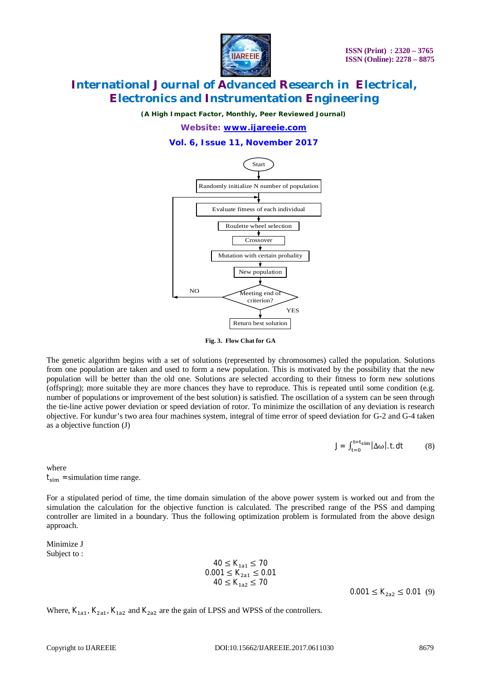

*(A High Impact Factor, Monthly, Peer Reviewed Journal)*

*Website: [www.ijareeie.com](http://www.ijareeie.com)* **Vol. 6, Issue 11, November 2017**



**Fig. 3. Flow Chat for GA**

The genetic algorithm begins with a set of solutions (represented by chromosomes) called the population. Solutions from one population are taken and used to form a new population. This is motivated by the possibility that the new population will be better than the old one. Solutions are selected according to their fitness to form new solutions (offspring); more suitable they are more chances they have to reproduce. This is repeated until some condition (e.g. number of populations or improvement of the best solution) is satisfied. The oscillation of a system can be seen through the tie-line active power deviation or speed deviation of rotor. To minimize the oscillation of any deviation is research objective. For kundur's two area four machines system, integral of time error of speed deviation for G-2 and G-4 taken as a objective function (J)

$$
J = \int_{t=0}^{t=t_{sim}} |\Delta \omega| \, \text{. } \, \text{d}t \tag{8}
$$

where  $t_{sim}$  =simulation time range.

For a stipulated period of time, the time domain simulation of the above power system is worked out and from the simulation the calculation for the objective function is calculated. The prescribed range of the PSS and damping controller are limited in a boundary. Thus the following optimization problem is formulated from the above design approach.

Minimize J Subject to :

> $40 \le K_{1a1} \le 70$  $0.001 \le K_{2a1} \le 0.01$  $40 \le K_{1a2} \le 70$

 $0.001 \leq K_{2a2} \leq 0.01$  (9)

Where,  $K_{1a1}$ ,  $K_{2a1}$ ,  $K_{1a2}$  and  $K_{2a2}$  are the gain of LPSS and WPSS of the controllers.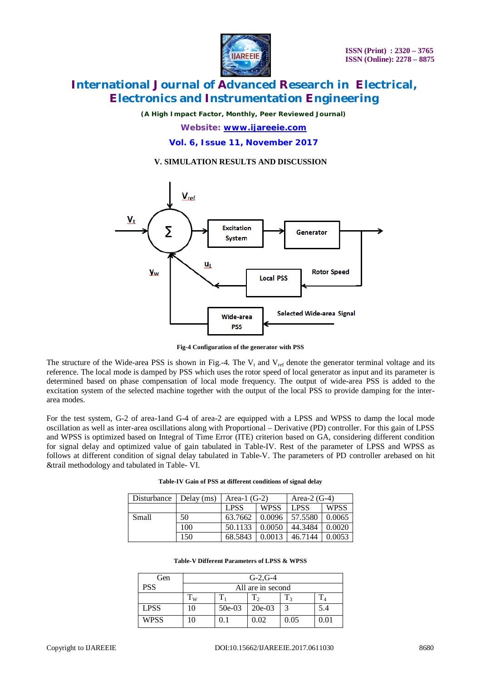

*(A High Impact Factor, Monthly, Peer Reviewed Journal)*

*Website: [www.ijareeie.com](http://www.ijareeie.com)* **Vol. 6, Issue 11, November 2017**

#### **V. SIMULATION RESULTS AND DISCUSSION**



**Fig-4 Configuration of the generator with PSS**

The structure of the Wide-area PSS is shown in Fig.-4. The  $V_t$  and  $V_{ref}$  denote the generator terminal voltage and its reference. The local mode is damped by PSS which uses the rotor speed of local generator as input and its parameter is determined based on phase compensation of local mode frequency. The output of wide-area PSS is added to the excitation system of the selected machine together with the output of the local PSS to provide damping for the interarea modes.

For the test system, G-2 of area-1and G-4 of area-2 are equipped with a LPSS and WPSS to damp the local mode oscillation as well as inter-area oscillations along with Proportional – Derivative (PD) controller. For this gain of LPSS and WPSS is optimized based on Integral of Time Error (ITE) criterion based on GA, considering different condition for signal delay and optimized value of gain tabulated in Table-IV. Rest of the parameter of LPSS and WPSS as follows at different condition of signal delay tabulated in Table-V. The parameters of PD controller arebased on hit &trail methodology and tabulated in Table- VI.

| Disturbance | Delay $(ms)$ | Area-1 $(G-2)$ |             | Area- $2(G-4)$ |             |
|-------------|--------------|----------------|-------------|----------------|-------------|
|             |              | LPSS           | <b>WPSS</b> | LPSS           | <b>WPSS</b> |
| Small       | 50           | 63.7662        | 0.0096      | 57.5580        | 0.0065      |
|             | 100          | 50.1133        | 0.0050      | 44.3484        | 0.0020      |
|             | 150          | 68.5843        | 0.0013      | 46.7144        | 0.0053      |

**Table-IV Gain of PSS at different conditions of signal delay**

|  |  |  | Table-V Different Parameters of LPSS & WPSS |  |  |  |
|--|--|--|---------------------------------------------|--|--|--|
|--|--|--|---------------------------------------------|--|--|--|

| Gen         | $G-2.G-4$         |          |          |      |      |
|-------------|-------------------|----------|----------|------|------|
| <b>PSS</b>  | All are in second |          |          |      |      |
|             | $T_W$             | π        |          |      | π    |
| <b>LPSS</b> | 10                | $50e-03$ | $20e-03$ |      | 5.4  |
| <b>WPSS</b> | ١O                |          | 0.02     | 0.05 | 0.01 |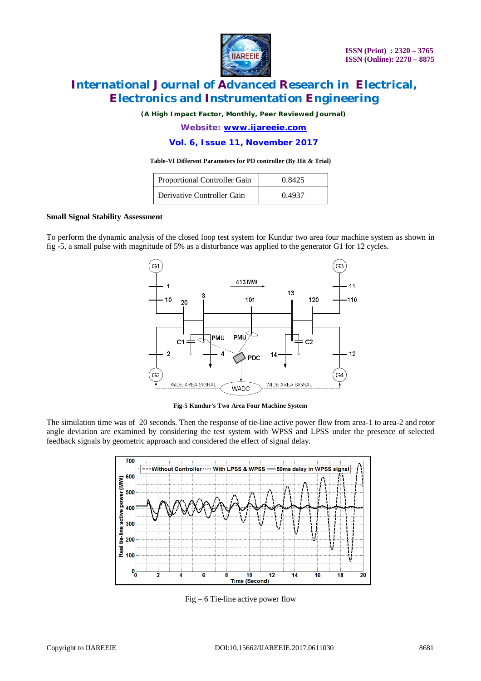

*(A High Impact Factor, Monthly, Peer Reviewed Journal)*

*Website: [www.ijareeie.com](http://www.ijareeie.com)* **Vol. 6, Issue 11, November 2017**

#### **Table-VI Different Parameters for PD controller (By Hit & Trial)**

| Proportional Controller Gain | 0.8425 |
|------------------------------|--------|
| Derivative Controller Gain   | 0.4937 |

#### **Small Signal Stability Assessment**

To perform the dynamic analysis of the closed loop test system for Kundur two area four machine system as shown in fig -5, a small pulse with magnitude of 5% as a disturbance was applied to the generator G1 for 12 cycles.



**Fig-5 Kundur's Two Area Four Machine System**

The simulation time was of 20 seconds. Then the response of tie-line active power flow from area-1 to area-2 and rotor angle deviation are examined by considering the test system with WPSS and LPSS under the presence of selected feedback signals by geometric approach and considered the effect of signal delay.



Fig – 6 Tie-line active power flow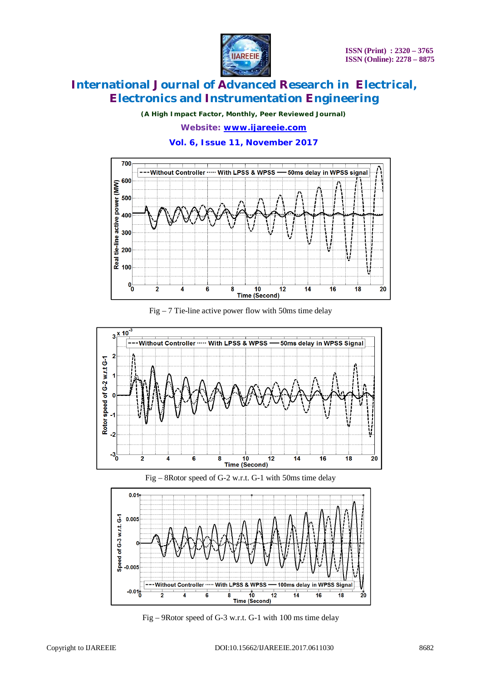

*(A High Impact Factor, Monthly, Peer Reviewed Journal)*

### *Website: [www.ijareeie.com](http://www.ijareeie.com)* **Vol. 6, Issue 11, November 2017**



Fig  $-7$  Tie-line active power flow with 50ms time delay







Fig – 9Rotor speed of G-3 w.r.t. G-1 with 100 ms time delay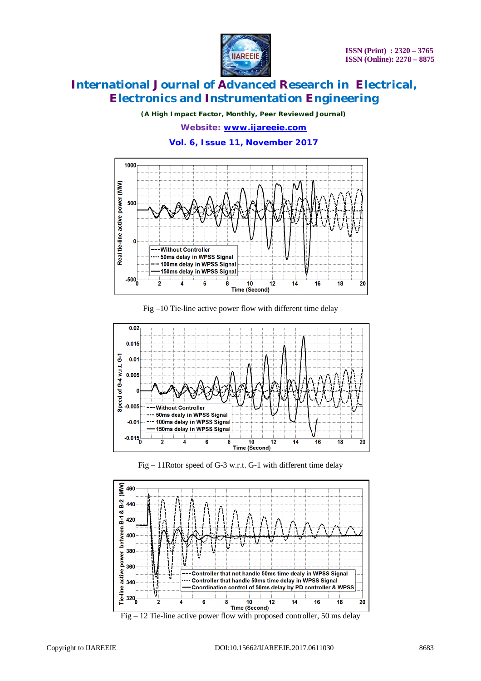

*(A High Impact Factor, Monthly, Peer Reviewed Journal)*

*Website: [www.ijareeie.com](http://www.ijareeie.com)* **Vol. 6, Issue 11, November 2017**



Fig –10 Tie-line active power flow with different time delay



Fig – 11Rotor speed of G-3 w.r.t. G-1 with different time delay



Fig  $-12$  Tie-line active power flow with proposed controller, 50 ms delay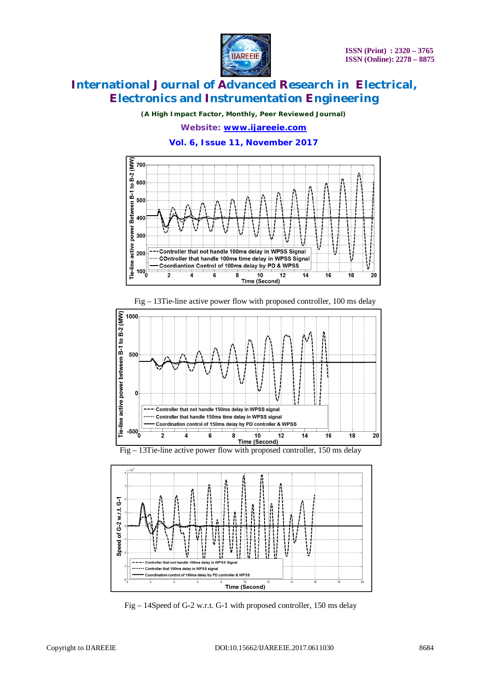

*(A High Impact Factor, Monthly, Peer Reviewed Journal)*

*Website: [www.ijareeie.com](http://www.ijareeie.com)* **Vol. 6, Issue 11, November 2017**



Fig – 13Tie-line active power flow with proposed controller, 100 ms delay







Fig – 14Speed of G-2 w.r.t. G-1 with proposed controller, 150 ms delay